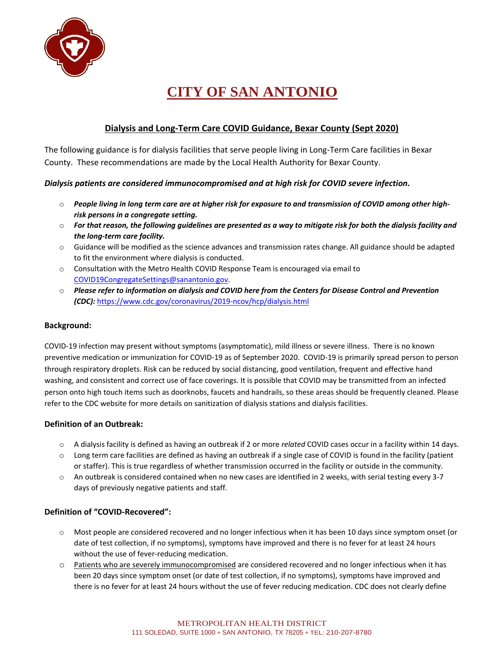

## **Dialysis and Long-Term Care COVID Guidance, Bexar County (Sept 2020)**

The following guidance is for dialysis facilities that serve people living in Long-Term Care facilities in Bexar County. These recommendations are made by the Local Health Authority for Bexar County.

## *Dialysis patients are considered immunocompromised and at high risk for COVID severe infection.*

- o *People living in long term care are at higher risk for exposure to and transmission of COVID among other highrisk persons in a congregate setting.*
- o *For that reason, the following guidelines are presented as a way to mitigate risk for both the dialysis facility and the long-term care facility.*
- o Guidance will be modified as the science advances and transmission rates change. All guidance should be adapted to fit the environment where dialysis is conducted.
- $\circ$  Consultation with the Metro Health COVID Response Team is encouraged via email to [COVID19CongregateSettings@sanantonio.gov.](mailto:COVID19CongregateSettings@sanantonio.gov)
- o *Please refer to information on dialysis and COVID here from the Centers for Disease Control and Prevention (CDC):* <https://www.cdc.gov/coronavirus/2019-ncov/hcp/dialysis.html>

## **Background:**

COVID-19 infection may present without symptoms (asymptomatic), mild illness or severe illness. There is no known preventive medication or immunization for COVID-19 as of September 2020. COVID-19 is primarily spread person to person through respiratory droplets. Risk can be reduced by social distancing, good ventilation, frequent and effective hand washing, and consistent and correct use of face coverings. It is possible that COVID may be transmitted from an infected person onto high touch items such as doorknobs, faucets and handrails, so these areas should be frequently cleaned. Please refer to the CDC website for more details on sanitization of dialysis stations and dialysis facilities.

## **Definition of an Outbreak:**

- o A dialysis facility is defined as having an outbreak if 2 or more *related* COVID cases occur in a facility within 14 days.
- $\circ$  Long term care facilities are defined as having an outbreak if a single case of COVID is found in the facility (patient or staffer). This is true regardless of whether transmission occurred in the facility or outside in the community.
- o An outbreak is considered contained when no new cases are identified in 2 weeks, with serial testing every 3-7 days of previously negative patients and staff.

## **Definition of "COVID-Recovered":**

- o Most people are considered recovered and no longer infectious when it has been 10 days since symptom onset (or date of test collection, if no symptoms), symptoms have improved and there is no fever for at least 24 hours without the use of fever-reducing medication.
- o Patients who are severely immunocompromised are considered recovered and no longer infectious when it has been 20 days since symptom onset (or date of test collection, if no symptoms), symptoms have improved and there is no fever for at least 24 hours without the use of fever reducing medication. CDC does not clearly define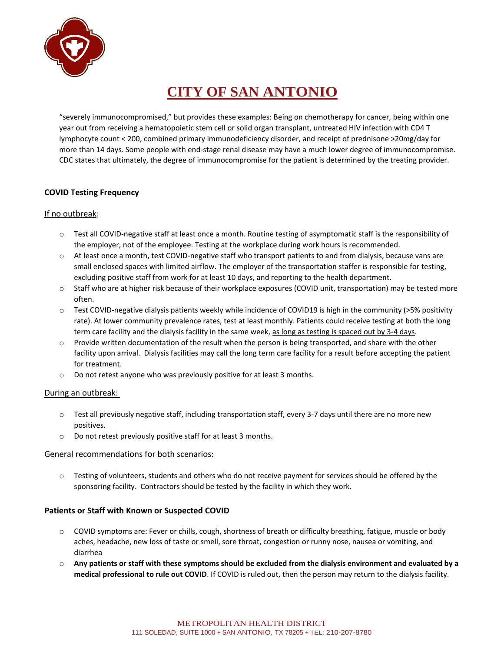

"severely immunocompromised," but provides these examples: Being on chemotherapy for cancer, being within one year out from receiving a hematopoietic stem cell or solid organ transplant, untreated HIV infection with CD4 T lymphocyte count < 200, combined primary immunodeficiency disorder, and receipt of prednisone >20mg/day for more than 14 days. Some people with end-stage renal disease may have a much lower degree of immunocompromise. CDC states that ultimately, the degree of immunocompromise for the patient is determined by the treating provider.

## **COVID Testing Frequency**

#### If no outbreak:

- o Test all COVID-negative staff at least once a month. Routine testing of asymptomatic staff is the responsibility of the employer, not of the employee. Testing at the workplace during work hours is recommended.
- $\circ$  At least once a month, test COVID-negative staff who transport patients to and from dialysis, because vans are small enclosed spaces with limited airflow. The employer of the transportation staffer is responsible for testing, excluding positive staff from work for at least 10 days, and reporting to the health department.
- o Staff who are at higher risk because of their workplace exposures (COVID unit, transportation) may be tested more often.
- $\circ$  Test COVID-negative dialysis patients weekly while incidence of COVID19 is high in the community (>5% positivity rate). At lower community prevalence rates, test at least monthly. Patients could receive testing at both the long term care facility and the dialysis facility in the same week, as long as testing is spaced out by 3-4 days.
- o Provide written documentation of the result when the person is being transported, and share with the other facility upon arrival. Dialysis facilities may call the long term care facility for a result before accepting the patient for treatment.
- o Do not retest anyone who was previously positive for at least 3 months.

#### During an outbreak:

- $\circ$  Test all previously negative staff, including transportation staff, every 3-7 days until there are no more new positives.
- o Do not retest previously positive staff for at least 3 months.

General recommendations for both scenarios:

o Testing of volunteers, students and others who do not receive payment for services should be offered by the sponsoring facility. Contractors should be tested by the facility in which they work.

## **Patients or Staff with Known or Suspected COVID**

- o COVID symptoms are: Fever or chills, cough, shortness of breath or difficulty breathing, fatigue, muscle or body aches, headache, new loss of taste or smell, sore throat, congestion or runny nose, nausea or vomiting, and diarrhea
- o **Any patients or staff with these symptoms should be excluded from the dialysis environment and evaluated by a medical professional to rule out COVID**. If COVID is ruled out, then the person may return to the dialysis facility.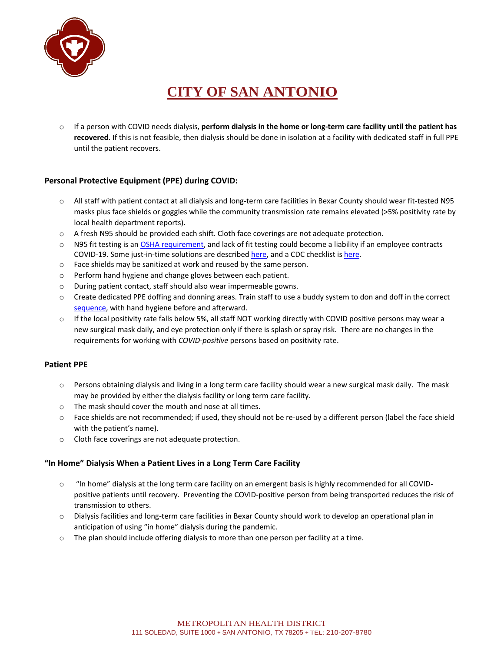

o If a person with COVID needs dialysis, **perform dialysis in the home or long-term care facility until the patient has recovered**. If this is not feasible, then dialysis should be done in isolation at a facility with dedicated staff in full PPE until the patient recovers.

## **Personal Protective Equipment (PPE) during COVID:**

- o All staff with patient contact at all dialysis and long-term care facilities in Bexar County should wear fit-tested N95 masks plus face shields or goggles while the community transmission rate remains elevated (>5% positivity rate by local health department reports).
- o A fresh N95 should be provided each shift. Cloth face coverings are not adequate protection.
- o N95 fit testing is an [OSHA requirement, a](https://www.osha.gov/memos/2020-03-14/temporary-enforcement-guidance-healthcare-respiratory-protection-annual-fit)nd lack of fit testing could become a liability if an employee contracts COVID-19. Some just-in-time solutions are described [here, a](https://blogs.cdc.gov/niosh-science-blog/2020/04/01/fit-testing-during-outbreaks/)nd a CDC checklist is [here.](https://www.cdc.gov/coronavirus/2019-ncov/hcp/checklist-n95-strategy-h.pdf)
- o Face shields may be sanitized at work and reused by the same person.
- o Perform hand hygiene and change gloves between each patient.
- o During patient contact, staff should also wear impermeable gowns.
- o Create dedicated PPE doffing and donning areas. Train staff to use a buddy system to don and doff in the correct [sequence,](https://www.cdc.gov/coronavirus/2019-ncov/hcp/using-ppe.html) with hand hygiene before and afterward.
- $\circ$  If the local positivity rate falls below 5%, all staff NOT working directly with COVID positive persons may wear a new surgical mask daily, and eye protection only if there is splash or spray risk. There are no changes in the requirements for working with *COVID-positive* persons based on positivity rate.

## **Patient PPE**

- o Persons obtaining dialysis and living in a long term care facility should wear a new surgical mask daily. The mask may be provided by either the dialysis facility or long term care facility.
- o The mask should cover the mouth and nose at all times.
- o Face shields are not recommended; if used, they should not be re-used by a different person (label the face shield with the patient's name).
- o Cloth face coverings are not adequate protection.

## **"In Home" Dialysis When a Patient Lives in a Long Term Care Facility**

- o "In home" dialysis at the long term care facility on an emergent basis is highly recommended for all COVIDpositive patients until recovery. Preventing the COVID-positive person from being transported reduces the risk of transmission to others.
- o Dialysis facilities and long-term care facilities in Bexar County should work to develop an operational plan in anticipation of using "in home" dialysis during the pandemic.
- o The plan should include offering dialysis to more than one person per facility at a time.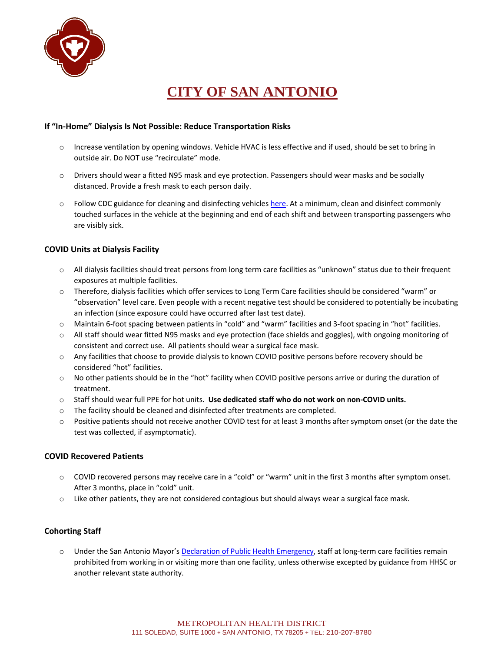

## **If "In-Home" Dialysis Is Not Possible: Reduce Transportation Risks**

- o Increase ventilation by opening windows. Vehicle HVAC is less effective and if used, should be set to bring in outside air. Do NOT use "recirculate" mode.
- o Drivers should wear a fitted N95 mask and eye protection. Passengers should wear masks and be socially distanced. Provide a fresh mask to each person daily.
- o Follow CDC guidance for cleaning and disinfecting vehicles [here.](https://www.cdc.gov/coronavirus/2019-ncov/community/organizations/disinfecting-transport-vehicles.html#:~:text=People%20who%20are%20known%20or,to%20receive%20essential%20medical%20care.) At a minimum, clean and disinfect commonly touched surfaces in the vehicle at the beginning and end of each shift and between transporting passengers who are visibly sick.

## **COVID Units at Dialysis Facility**

- o All dialysis facilities should treat persons from long term care facilities as "unknown" status due to their frequent exposures at multiple facilities.
- o Therefore, dialysis facilities which offer services to Long Term Care facilities should be considered "warm" or "observation" level care. Even people with a recent negative test should be considered to potentially be incubating an infection (since exposure could have occurred after last test date).
- o Maintain 6-foot spacing between patients in "cold" and "warm" facilities and 3-foot spacing in "hot" facilities.
- o All staff should wear fitted N95 masks and eye protection (face shields and goggles), with ongoing monitoring of consistent and correct use. All patients should wear a surgical face mask.
- o Any facilities that choose to provide dialysis to known COVID positive persons before recovery should be considered "hot" facilities.
- o No other patients should be in the "hot" facility when COVID positive persons arrive or during the duration of treatment.
- o Staff should wear full PPE for hot units. **Use dedicated staff who do not work on non-COVID units.**
- $\circ$  The facility should be cleaned and disinfected after treatments are completed.
- o Positive patients should not receive another COVID test for at least 3 months after symptom onset (or the date the test was collected, if asymptomatic).

## **COVID Recovered Patients**

- o COVID recovered persons may receive care in a "cold" or "warm" unit in the first 3 months after symptom onset. After 3 months, place in "cold" unit.
- $\circ$  Like other patients, they are not considered contagious but should always wear a surgical face mask.

## **Cohorting Staff**

o Under the San Antonio Mayor's [Declaration of Public Health Emergency,](https://covid19.sanantonio.gov/About-COVID-19/Declarations-Orders) staff at long-term care facilities remain prohibited from working in or visiting more than one facility, unless otherwise excepted by guidance from HHSC or another relevant state authority.